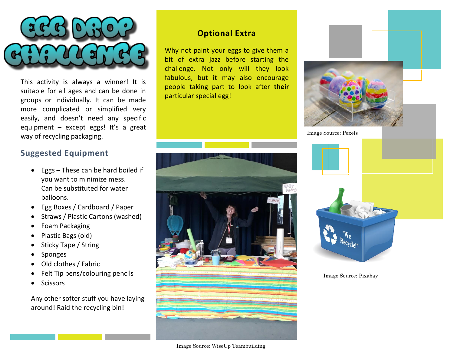

This activity is always a winner! It is suitable for all ages and can be done in groups or individually. It can be made more complicated or simplified very easily, and doesn't need any specific equipment – except eggs! It's a great way of recycling packaging.

# **Suggested Equipment**

- Eggs These can be hard boiled if you want to minimize mess. Can be substituted for water balloons.
- Egg Boxes / Cardboard / Paper
- Straws / Plastic Cartons (washed)
- Foam Packaging
- Plastic Bags (old)
- Sticky Tape / String
- Sponges
- Old clothes / Fabric
- Felt Tip pens/colouring pencils
- Scissors

Any other softer stuff you have laying around! Raid the recycling bin!

#### **Optional Extra**

Why not paint your eggs to give them a bit of extra jazz before starting the challenge. Not only will they look fabulous, but it may also encourage people taking part to look after **their** particular special egg!



Image Source: WiseUp Teambuilding





Image Source: Pixabay